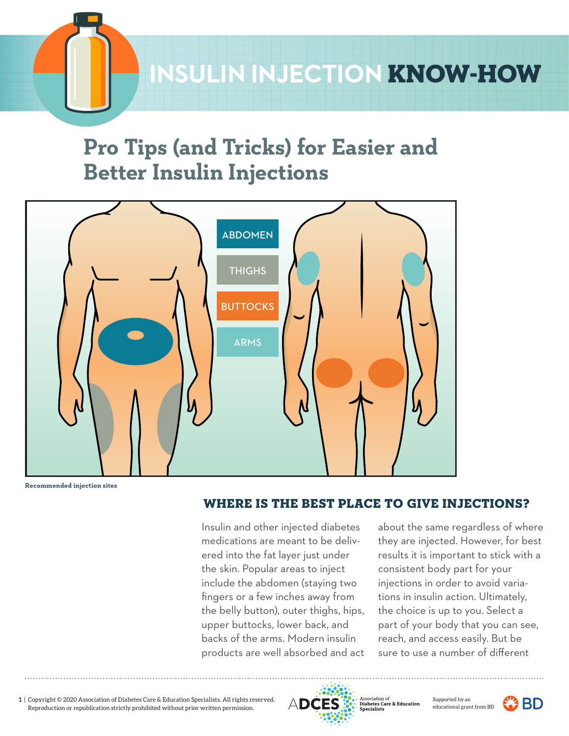# **SULIN INJECTION KNOW-HOW**

# **Pro Tips (and Tricks) for Easier and Better Insulin Injections**



**Recommended injection sites**

## *1- 0-* WHERE IS THE BEST PLACE TO GIVE INJECTIONS?

Insulin and other injected diabetes medications are meant to be delivered into the fat layer just under the skin. Popular areas to inject include the abdomen (staying two fingers or a few inches away from the belly button), outer thighs, hips, upper buttocks, lower back, and backs of the arms. Modern insulin products are well absorbed and act

about the same regardless of where they are injected. However, for best results it is important to stick with a consistent body part for your injections in order to avoid variations in insulin action. Ultimately, the choice is up to you. Select a part of your body that you can see, reach, and access easily. But be sure to use a number of different

**1 2 3 4 5** Reproduction or republication strictly prohibited without prior written permission.**1** | Copyright © 2020 Association of Diabetes Care & Education Specialists. All rights reserved.



re & Educat



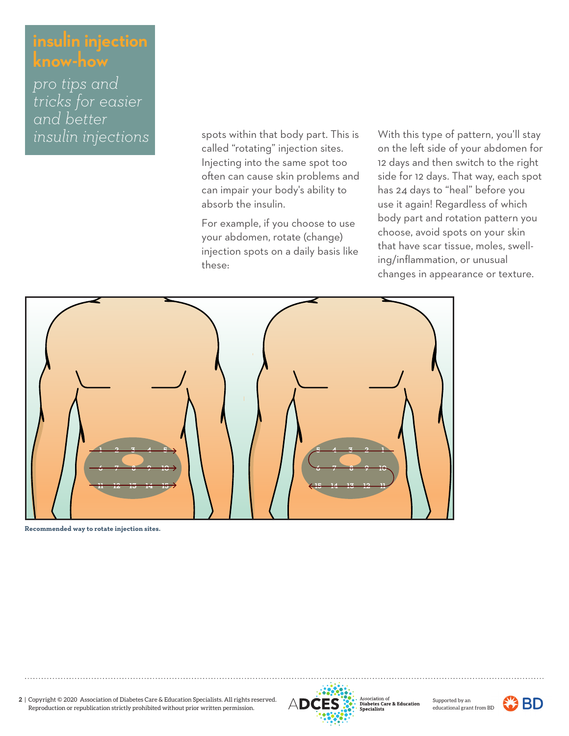*pro tips and tricks for easier and better insulin injections* 

called "rotating" injection sites. Injecting into the same spot too often can cause skin problems and can impair your body's ability to absorb the insulin. spots within that body part. This is

For example, if you choose to use your abdomen, rotate (change) injection spots on a daily basis like these:

With this type of pattern, you'll stay on the left side of your abdomen for 12 days and then switch to the right side for 12 days. That way, each spot has 24 days to "heal" before you use it again! Regardless of which body part and rotation pattern you choose, avoid spots on your skin that have scar tissue, moles, swelling/inflammation, or unusual changes in appearance or texture.



**Recommended way to rotate injection sites.**





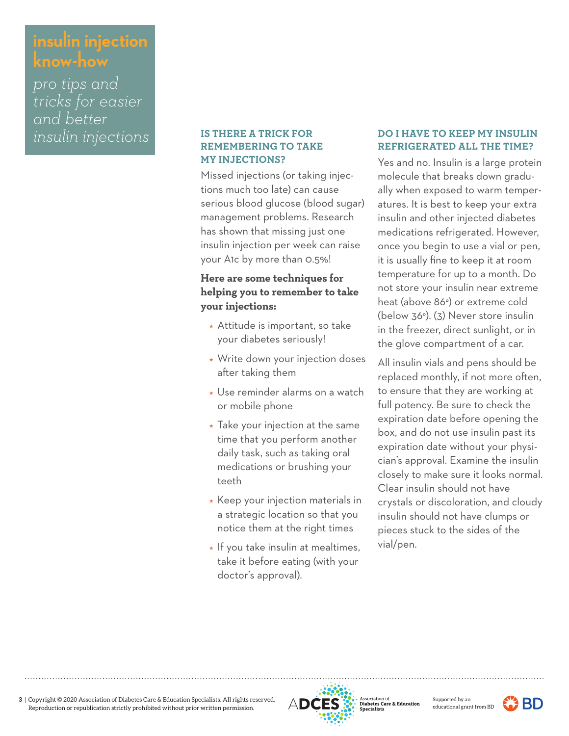*pro tips and tricks for easier and better*

### **IS THERE A TRICK FOR REMEMBERING TO TAKE MY INJECTIONS?**

Missed injections (or taking injections much too late) can cause serious blood glucose (blood sugar) management problems. Research has shown that missing just one insulin injection per week can raise your A1c by more than 0.5%!

## **Here are some techniques for helping you to remember to take your injections:**

- Attitude is important, so take your diabetes seriously!
- Write down your injection doses after taking them
- Use reminder alarms on a watch or mobile phone
- $\star$  Take your injection at the same time that you perform another daily task, such as taking oral medications or brushing your teeth
- $\star$  Keep your injection materials in a strategic location so that you notice them at the right times
- $\star$  If you take insulin at mealtimes, take it before eating (with your doctor's approval).

### *insulin injections* **BETHERE A TRICK FOR DO I HAVE TO KEEP MY INSULIN REFRIGERATED ALL THE TIME?**

Yes and no. Insulin is a large protein molecule that breaks down gradually when exposed to warm temperatures. It is best to keep your extra insulin and other injected diabetes medications refrigerated. However, once you begin to use a vial or pen, it is usually fine to keep it at room temperature for up to a month. Do not store your insulin near extreme heat (above 86°) or extreme cold (below 36°). (3) Never store insulin in the freezer, direct sunlight, or in the glove compartment of a car.

All insulin vials and pens should be replaced monthly, if not more often, to ensure that they are working at full potency. Be sure to check the expiration date before opening the box, and do not use insulin past its expiration date without your physician's approval. Examine the insulin closely to make sure it looks normal. Clear insulin should not have crystals or discoloration, and cloudy insulin should not have clumps or pieces stuck to the sides of the vial/pen.



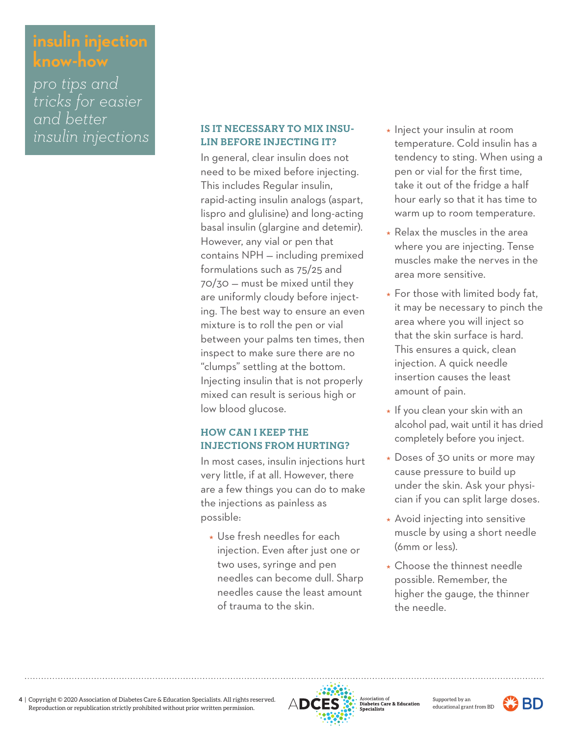*pro tips and tricks for easier and better*

#### *insulin injections* **IS IT NECESSARY TO MIX INSU-**<br>**ELIN REFORE IN IECTING IT? Interpretational conditional condition IS IT NECESSARY TO MIX INSU-LIN BEFORE INJECTING IT?**

In general, clear insulin does not need to be mixed before injecting. This includes Regular insulin, rapid-acting insulin analogs (aspart, lispro and glulisine) and long-acting basal insulin (glargine and detemir). However, any vial or pen that contains NPH — including premixed formulations such as 75/25 and 70/30 — must be mixed until they are uniformly cloudy before injecting. The best way to ensure an even mixture is to roll the pen or vial between your palms ten times, then inspect to make sure there are no "clumps" settling at the bottom. Injecting insulin that is not properly mixed can result is serious high or low blood glucose.

## **HOW CAN I KEEP THE INJECTIONS FROM HURTING?**

In most cases, insulin injections hurt very little, if at all. However, there are a few things you can do to make the injections as painless as possible:

 Use fresh needles for each injection. Even after just one or two uses, syringe and pen needles can become dull. Sharp needles cause the least amount of trauma to the skin.

- temperature. Cold insulin has a tendency to sting. When using a pen or vial for the first time, take it out of the fridge a half hour early so that it has time to warm up to room temperature.
- $\star$  Relax the muscles in the area where you are injecting. Tense muscles make the nerves in the area more sensitive.
- $\star$  For those with limited body fat, it may be necessary to pinch the area where you will inject so that the skin surface is hard. This ensures a quick, clean injection. A quick needle insertion causes the least amount of pain.
- $\star$  If you clean your skin with an alcohol pad, wait until it has dried completely before you inject.
- Doses of 30 units or more may cause pressure to build up under the skin. Ask your physician if you can split large doses.
- \* Avoid injecting into sensitive muscle by using a short needle (6mm or less).
- \* Choose the thinnest needle possible. Remember, the higher the gauge, the thinner the needle.



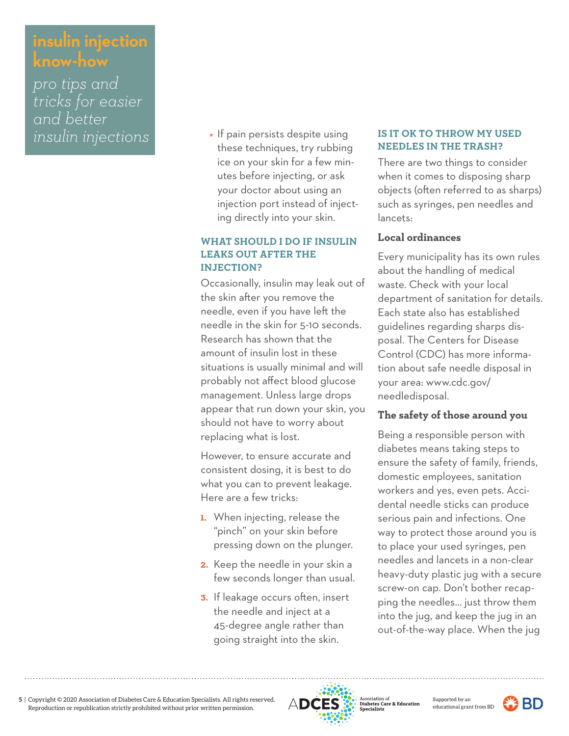*pro tips and tricks for easier and better*

*insulin injections*  $\overline{\phantom{a}}$  **IS IT OK TO THROW MY USED**  $\star$  If pain persists despite using these techniques, try rubbing ice on your skin for a few minutes before injecting, or ask your doctor about using an injection port instead of injecting directly into your skin.

### **WHAT SHOULD I DO IF INSULIN LEAKS OUT AFTER THE INJECTION?**

Occasionally, insulin may leak out of the skin after you remove the needle, even if you have left the needle in the skin for 5-10 seconds. Research has shown that the amount of insulin lost in these situations is usually minimal and will probably not affect blood glucose management. Unless large drops appear that run down your skin, you should not have to worry about replacing what is lost.

However, to ensure accurate and consistent dosing, it is best to do what you can to prevent leakage. Here are a few tricks:

- 1. When injecting, release the "pinch" on your skin before pressing down on the plunger.
- 2. Keep the needle in your skin a few seconds longer than usual.
- 3. If leakage occurs often, insert the needle and inject at a 45-degree angle rather than going straight into the skin.

# **NEEDLES IN THE TRASH?**

There are two things to consider when it comes to disposing sharp objects (often referred to as sharps) such as syringes, pen needles and lancets:

### **Local ordinances**

Every municipality has its own rules about the handling of medical waste. Check with your local department of sanitation for details. Each state also has established guidelines regarding sharps disposal. The Centers for Disease Control (CDC) has more information about safe needle disposal in your area: www.cdc.gov/ needledisposal.

## **The safety of those around you**

Being a responsible person with diabetes means taking steps to ensure the safety of family, friends, domestic employees, sanitation workers and yes, even pets. Accidental needle sticks can produce serious pain and infections. One way to protect those around you is to place your used syringes, pen needles and lancets in a non-clear heavy-duty plastic jug with a secure screw-on cap. Don't bother recapping the needles… just throw them into the jug, and keep the jug in an out-of-the-way place. When the jug